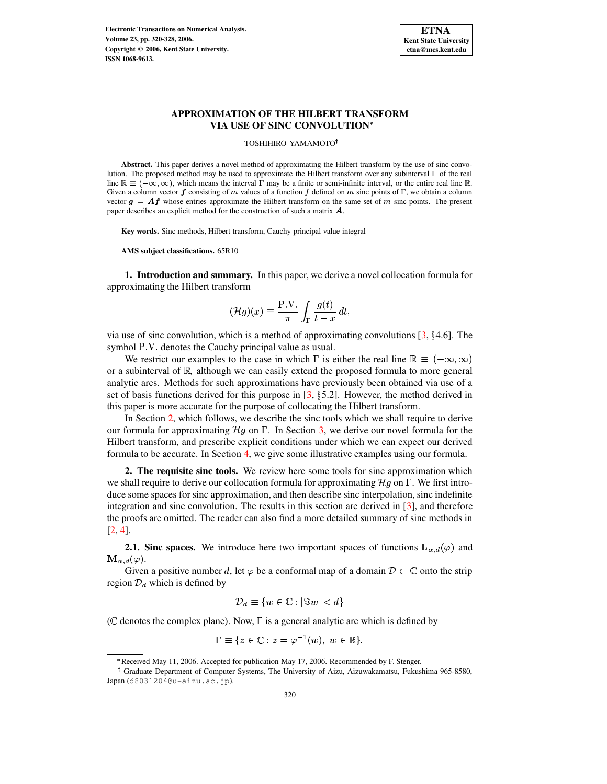

## **APPROXIMATION OF THE HILBERT TRANSFORM VIA USE OF SINC CONVOLUTION**

TOSHIHIRO YAMAMOTO

**Abstract.** This paper derives a novel method of approximating the Hilbert transform by the use of sinc convolution. The proposed method may be used to approximate the Hilbert transform over any subinterval  $\Gamma$  of the real line  $\mathbb{R} \equiv (-\infty, \infty)$ , which means the interval  $\Gamma$  may be a finite or semi-infinite interval, or the entire real line  $\mathbb{R}$ . Given a column vector  $f$  consisting of m values of a function  $f$  defined on  $m$  sinc points of  $\Gamma$ , we obtain a column vector  $g = Af$  whose entries approximate the Hilbert transform on the same set of m sinc points. The present paper describes an explicit method for the construction of such a matrix  $\boldsymbol{A}$ .

**Key words.** Sinc methods, Hilbert transform, Cauchy principal value integral

**AMS subject classifications.** 65R10

**1. Introduction and summary.** In this paper, we derive a novel collocation formula for approximating the Hilbert transform

$$
(\mathcal{H}g)(x) \equiv \frac{\mathrm{P.V.}}{\pi} \int_{\Gamma} \frac{g(t)}{t-x} dt,
$$

via use of sinc convolution, which is a method of approximating convolutions  $[3, §4.6]$  $[3, §4.6]$ . The symbol P.V. denotes the Cauchy principal value as usual.

We restrict our examples to the case in which  $\Gamma$  is either the real line  $\mathbb{R} \equiv (-\infty, \infty)$ or a subinterval of  $\mathbb{R}$ , although we can easily extend the proposed formula to more general analytic arcs. Methods for such approximations have previously been obtained via use of a set of basis functions derived for this purpose in  $[3, §5.2]$  $[3, §5.2]$ . However, the method derived in this paper is more accurate for the purpose of collocating the Hilbert transform.

In Section [2,](#page-0-0) which follows, we describe the sinc tools which we shall require to derive our formula for approximating  $\mathcal{H}g$  on  $\Gamma$ . In Section [3,](#page-4-0) we derive our novel formula for the Hilbert transform, and prescribe explicit conditions under which we can expect our derived formula to be accurate. In Section [4,](#page-5-0) we give some illustrative examples using our formula.

<span id="page-0-0"></span>**2. The requisite sinc tools.** We review here some tools for sinc approximation which we shall require to derive our collocation formula for approximating  $\mathcal{H}g$  on  $\Gamma$ . We first introduce some spaces for sinc approximation, and then describe sinc interpolation, sinc indefinite integration and sinc convolution. The results in this section are derived in [\[3\]](#page-6-0), and therefore the proofs are omitted. The reader can also find a more detailed summary of sinc methods in [\[2,](#page-6-1) [4\]](#page-6-2).

<span id="page-0-1"></span>**2.1. Sinc spaces.** We introduce here two important spaces of functions  $\mathbf{L}_{\alpha,d}(\varphi)$  and  $\mathbf{M}_{\alpha, d}(\varphi).$ 

Given a positive number d, let  $\varphi$  be a conformal map of a domain  $\mathcal{D} \subset \mathbb{C}$  onto the strip region  $\mathcal{D}_d$  which is defined by

$$
\mathcal{D}_d \equiv \{ w \in \mathbb{C} : |\Im w| < d \}
$$

( $\mathbb C$  denotes the complex plane). Now,  $\Gamma$  is a general analytic arc which is defined by

$$
\Gamma \equiv \{ z \in \mathbb{C} : z = \varphi^{-1}(w), \ w \in \mathbb{R} \}.
$$

<sup>i</sup> Received May 11, 2006. Accepted for publication May 17, 2006. Recommended by F. Stenger.

Graduate Department of Computer Systems, The University of Aizu, Aizuwakamatsu, Fukushima 965-8580, Japan (d8031204@u-aizu.ac.jp).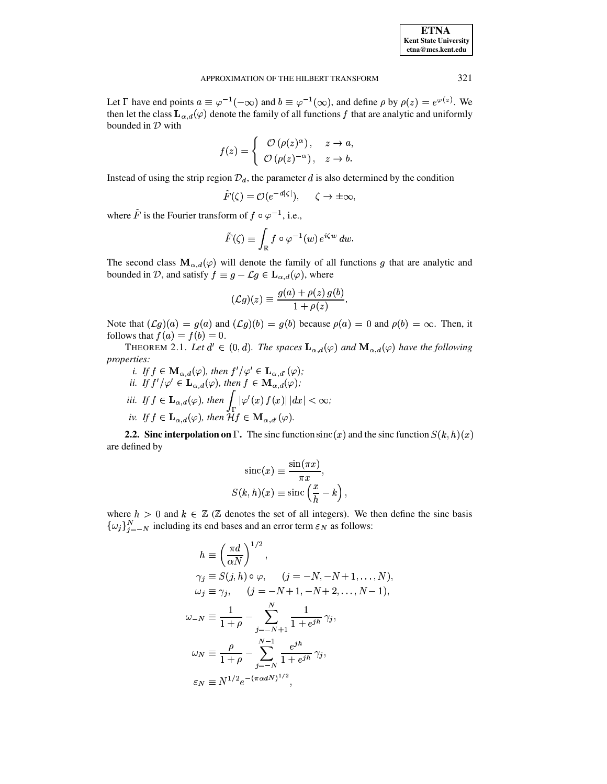| <b>ETNA</b>                  |
|------------------------------|
| <b>Kent State University</b> |
| etna@mcs.kent.edu            |

#### APPROXIMATION OF THE HILBERT TRANSFORM 321

Let  $\Gamma$  have end points  $a \equiv \varphi^{-1}(-\infty)$  and  $b \equiv \varphi^{-1}(\infty)$ , and define  $\rho$  by  $\rho(z) = e^{\varphi(z)}$ . We then let the class  $\mathbf{L}_{\alpha,d}(\varphi)$  denote the family of all functions f that are analytic and uniformly bounded in  $D$  with

$$
f(z) = \begin{cases} O(\rho(z)^{\alpha}), & z \to a, \\ O(\rho(z)^{-\alpha}), & z \to b. \end{cases}
$$

Instead of using the strip region  $\mathcal{D}_d$ , the parameter  $d$  is also determined by the condition

$$
\tilde{F}(\zeta) = \mathcal{O}(e^{-d|\zeta|}), \quad \zeta \to \pm \infty,
$$

where  $\tilde{F}$  is the Fourier transform of  $f \circ \varphi^{-1}$ , i.e.,

$$
\tilde{F}(\zeta) \equiv \int_\mathbb{R} f\circ \varphi^{-1}(w)\, e^{i\zeta w}\, dw.
$$

The second class  $\mathbf{M}_{\alpha,d}(\varphi)$  will denote the family of all functions g that are analytic and bounded in D, and satisfy  $f \equiv g - \mathcal{L}g \in \mathbf{L}_{\alpha,d}(\varphi)$ , where

$$
(\mathcal{L}g)(z) \equiv \frac{g(a)+\rho(z)\,g(b)}{1+\rho(z)}.
$$

Note that  $(\mathcal{L}g)(a) = g(a)$  and  $(\mathcal{L}g)(b) = g(b)$  because  $\rho(a) = 0$  and  $\rho(b) = \infty$ . Then, it follows that  $f(a) = f(b) = 0$ .

**THEOREM 2.1.** Let  $d' \in (0,d)$ . The spaces  $\mathbf{L}_{\alpha,d}(\varphi)$  and  $\mathbf{M}_{\alpha,d}(\varphi)$  have the following *properties:*

*i.* If  $f \in M_{\alpha,d}(\varphi)$ , then  $f'/\varphi' \in L_{\alpha,d'}(\varphi)$ ; ii. If  $f'/{\varphi'} \in {\bf L}_{\alpha,d}(\varphi)$ , then  $f \in {\bf M}_{\alpha,d}(\varphi)$ ; *iii.* If  $f \in L_{\alpha,d}(\varphi)$ , then  $\int |\varphi'(x) f(x)| dx < \infty$ ; iv. If  $f \in L_{\alpha,d}(\varphi)$ , then  $\mathcal{H} f \in \mathbf{M}_{\alpha,d'}(\varphi)$ .

**2.2.** Sinc interpolation on  $\Gamma$ . The sinc function  $\operatorname{sinc}(x)$  and the sinc function  $S(k, h)(x)$ are defined by

$$
sinc(x) \equiv \frac{\sin(\pi x)}{\pi x},
$$
  

$$
S(k, h)(x) \equiv \operatorname{sinc}\left(\frac{x}{h} - k\right),
$$

where  $h > 0$  and  $k \in \mathbb{Z}$  ( $\mathbb{Z}$  denotes the set of all integers). We then define the sinc basis  $\{\omega_j\}_{j=-N}^N$  including its end bases and an error term  $\varepsilon_N$  as follows:

$$
h \equiv \left(\frac{\pi d}{\alpha N}\right)^{1/2},
$$
  
\n
$$
\gamma_j \equiv S(j, h) \circ \varphi, \qquad (j = -N, -N + 1, ..., N),
$$
  
\n
$$
\omega_j \equiv \gamma_j, \qquad (j = -N + 1, -N + 2, ..., N - 1),
$$
  
\n
$$
\omega_{-N} \equiv \frac{1}{1 + \rho} - \sum_{j = -N + 1}^{N} \frac{1}{1 + e^{jh}} \gamma_j,
$$
  
\n
$$
\omega_N \equiv \frac{\rho}{1 + \rho} - \sum_{j = -N}^{N - 1} \frac{e^{jh}}{1 + e^{jh}} \gamma_j,
$$
  
\n
$$
\varepsilon_N \equiv N^{1/2} e^{-(\pi \alpha d N)^{1/2}},
$$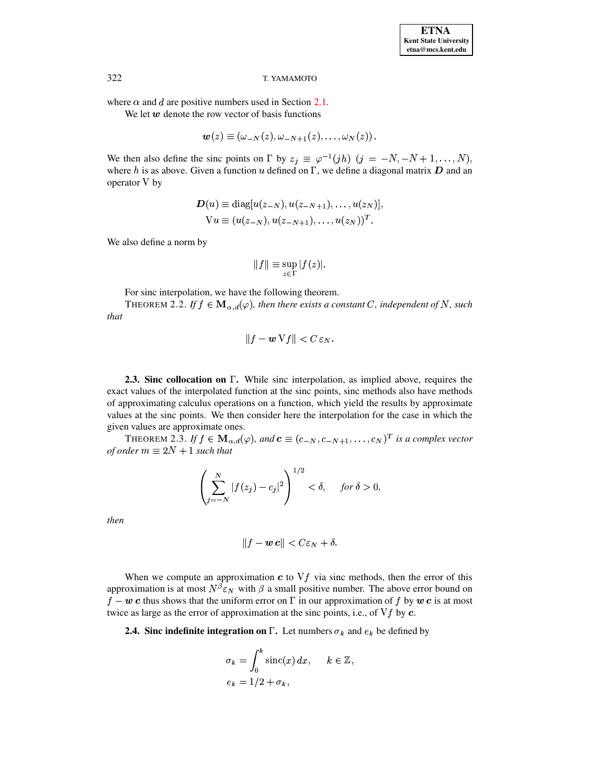where  $\alpha$  and d are positive numbers used in Section 2.1.

We let  $w$  denote the row vector of basis functions

$$
\boldsymbol{w}(z)\equiv\left(\omega_{-N}(z),\omega_{-N+1}(z),\ldots,\omega_{N}(z)\right).
$$

We then also define the sinc points on  $\Gamma$  by  $z_j \equiv \varphi^{-1}(jh)$   $(j = -N, -N + 1, ..., N)$ , where  $h$  is as above. Given a function  $u$  defined on  $\Gamma$ , we define a diagonal matrix  $D$  and an operator V by

$$
D(u) \equiv \text{diag}[u(z_{-N}), u(z_{-N+1}), \dots, u(z_N)],
$$
  
\n
$$
Vu \equiv (u(z_{-N}), u(z_{-N+1}), \dots, u(z_N))^T.
$$

We also define a norm by

$$
||f|| \equiv \sup_{z \in \Gamma} |f(z)|.
$$

For sinc interpolation, we have the following theorem.

THEOREM 2.2. If  $f \in M_{\alpha,d}(\varphi)$ , then there exists a constant C, independent of N, such that

$$
||f - \boldsymbol{w} \,\mathrm{V} f|| < C \,\varepsilon_N.
$$

**2.3. Sinc collocation on**  $\Gamma$ . While sinc interpolation, as implied above, requires the exact values of the interpolated function at the sinc points, sinc methods also have methods of approximating calculus operations on a function, which yield the results by approximate values at the sinc points. We then consider here the interpolation for the case in which the given values are approximate ones.

THEOREM 2.3. If  $f \in M_{\alpha,d}(\varphi)$ , and  $\mathbf{c} \equiv (c_{-N}, c_{-N+1}, \dots, c_N)^T$  is a complex vector of order  $m \equiv 2N + 1$  such that

$$
\left(\sum_{j=-N}^{N} |f(z_j) - c_j|^2\right)^{1/2} < \delta, \quad \text{ for } \delta > 0,
$$

then

$$
||f - \boldsymbol{w} \, \boldsymbol{c}|| < C \varepsilon_N + \delta.
$$

When we compute an approximation  $c$  to  $Vf$  via sinc methods, then the error of this approximation is at most  $N^{\beta} \varepsilon_N$  with  $\beta$  a small positive number. The above error bound on  $f - w c$  thus shows that the uniform error on  $\Gamma$  in our approximation of f by w c is at most twice as large as the error of approximation at the sinc points, i.e., of  $Vf$  by  $c$ .

**2.4.** Sinc indefinite integration on  $\Gamma$ . Let numbers  $\sigma_k$  and  $e_k$  be defined by

$$
\sigma_k = \int_0^k \operatorname{sinc}(x) dx, \quad k \in \mathbb{Z},
$$
  

$$
e_k = 1/2 + \sigma_k,
$$

322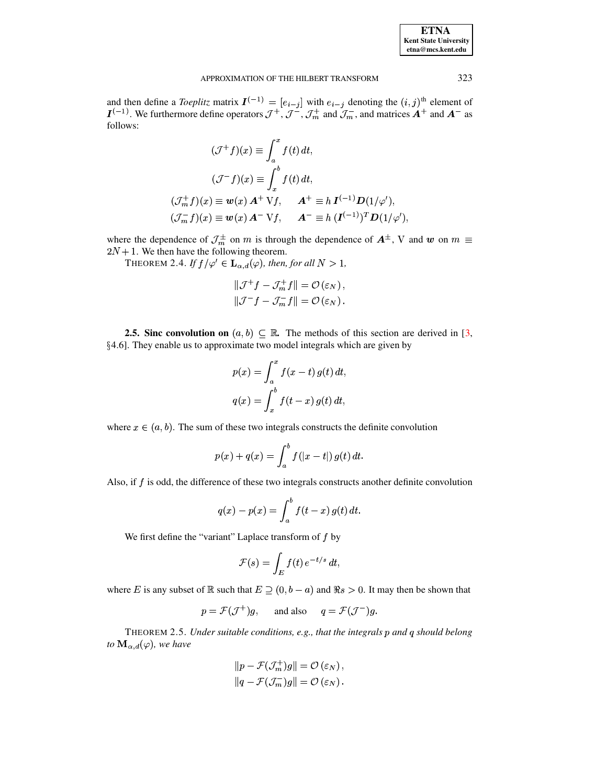| <b>ETNA</b>                  |
|------------------------------|
| <b>Kent State University</b> |
| etna@mcs.kent.edu            |

#### APPROXIMATION OF THE HILBERT TRANSFORM

and then define a *Toeplitz* matrix  $\mathbf{I}^{(-1)} = [e_{i-j}]$  with  $e_{i-j}$  denoting the  $(i, j)$ <sup>th</sup> element of  $\mathbf{I}^{(-1)}$ . We furthermore define operators  $\mathcal{J}^+, \mathcal{J}^-, \mathcal{J}_m^+$  and  $\mathcal{J}_m^-$ , and matrices  $\mathbf{A}^+$  and follows:

$$
(\mathcal{J}^+ f)(x) \equiv \int_a^x f(t) dt,
$$
  

$$
(\mathcal{J}^- f)(x) \equiv \int_x^b f(t) dt,
$$
  

$$
(\mathcal{J}_m^+ f)(x) \equiv \mathbf{w}(x) \mathbf{A}^+ \mathbf{V} f, \qquad \mathbf{A}^+ \equiv h \mathbf{I}^{(-1)} \mathbf{D} (1/\varphi'),
$$
  

$$
(\mathcal{J}_m^- f)(x) \equiv \mathbf{w}(x) \mathbf{A}^- \mathbf{V} f, \qquad \mathbf{A}^- \equiv h \left( \mathbf{I}^{(-1)} \right)^T \mathbf{D} (1/\varphi'),
$$

where the dependence of  $\mathcal{J}_m^{\pm}$  on *m* is through the dependence of  $A^{\pm}$ , V and *w* on  $m \equiv 2N+1$ . We then have the following theorem.

THEOREM 2.4. If  $f/\varphi' \in \mathbf{L}_{\alpha,d}(\varphi)$ , then, for all  $N > 1$ ,

$$
\|\mathcal{J}^+f - \mathcal{J}_m^+f\| = \mathcal{O}(\varepsilon_N),
$$
  

$$
\|\mathcal{J}^-f - \mathcal{J}_m^-f\| = \mathcal{O}(\varepsilon_N).
$$

<span id="page-3-0"></span>**2.5. Sinc convolution on**  $(a, b) \subset \mathbb{R}$ . The methods of this section are derived in [3, §4.6]. They enable us to approximate two model integrals which are given by

$$
p(x) = \int_a^x f(x - t) g(t) dt,
$$
  

$$
q(x) = \int_x^b f(t - x) g(t) dt,
$$

where  $x \in (a, b)$ . The sum of these two integrals constructs the definite convolution

$$
p(x) + q(x) = \int_{a}^{b} f(|x - t|) g(t) dt.
$$

Also, if f is odd, the difference of these two integrals constructs another definite convolution

$$
q(x) - p(x) = \int_a^b f(t - x) g(t) dt
$$

We first define the "variant" Laplace transform of  $f$  by

$$
\mathcal{F}(s) = \int_E f(t) e^{-t/s} dt
$$

where E is any subset of R such that  $E \supseteq (0, b - a)$  and  $\Re s > 0$ . It may then be shown that

$$
p = \mathcal{F}(\mathcal{J}^+)g
$$
, and also  $q = \mathcal{F}(\mathcal{J}^-)g$ .

<span id="page-3-1"></span>THEOREM 2.5. Under suitable conditions, e.g., that the integrals p and q should belong to  $\mathbf{M}_{\alpha,d}(\varphi)$ , we have

$$
||p - \mathcal{F}(\mathcal{J}_m^+)g|| = \mathcal{O}(\varepsilon_N),
$$
  

$$
||q - \mathcal{F}(\mathcal{J}_m^-)g|| = \mathcal{O}(\varepsilon_N).
$$

323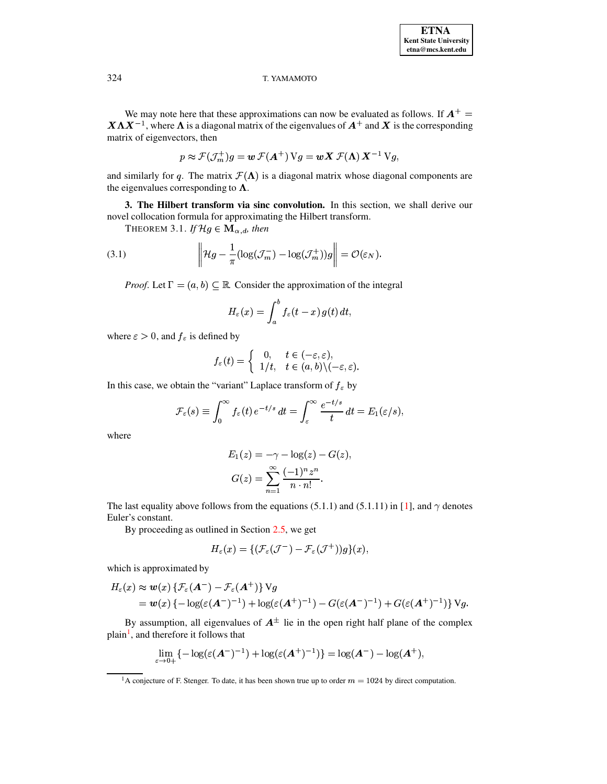We may note here that these approximations can now be evaluated as follows. If  $A^+$  =  $X \Lambda X^{-1}$ , where  $\Lambda$  is a diagonal matrix of the eigenvalues of  $A^+$  and X is the corresponding matrix of eigenvectors, then

<span id="page-4-2"></span>
$$
p \approx \mathcal{F}(\mathcal{J}_m^+)g = \boldsymbol{w}\,\mathcal{F}(\boldsymbol{A}^+) \,\mathrm{V}g = \boldsymbol{w}\,\boldsymbol{X}\,\mathcal{F}(\boldsymbol{\Lambda})\,\boldsymbol{X}^{-1}\,\mathrm{V}g,
$$

and similarly for q. The matrix  $\mathcal{F}(\Lambda)$  is a diagonal matrix whose diagonal components are the eigenvalues corresponding to  $\Lambda$ .

<span id="page-4-0"></span>3. The Hilbert transform via sinc convolution. In this section, we shall derive our novel collocation formula for approximating the Hilbert transform.

THEOREM 3.1. If  $\mathcal{H}g \in \mathbf{M}_{\alpha,d}$ , then

(3.1) 
$$
\left\| \mathcal{H}g - \frac{1}{\pi} (\log(\mathcal{J}_m^-) - \log(\mathcal{J}_m^+))g \right\| = \mathcal{O}(\varepsilon_N).
$$

*Proof.* Let  $\Gamma = (a, b) \subseteq \mathbb{R}$ . Consider the approximation of the integral

$$
H_{\varepsilon}(x)=\int_a^b f_{\varepsilon}(t-x)\,g(t)\,dt,
$$

where  $\varepsilon > 0$ , and  $f_{\varepsilon}$  is defined by

$$
f_{\varepsilon}(t) = \begin{cases} 0, & t \in (-\varepsilon, \varepsilon), \\ 1/t, & t \in (a, b) \setminus (-\varepsilon, \varepsilon) \end{cases}
$$

In this case, we obtain the "variant" Laplace transform of  $f_{\varepsilon}$  by

$$
\mathcal{F}_{\varepsilon}(s) \equiv \int_0^{\infty} f_{\varepsilon}(t) e^{-t/s} dt = \int_{\varepsilon}^{\infty} \frac{e^{-t/s}}{t} dt = E_1(\varepsilon/s),
$$

where

$$
E_1(z) = -\gamma - \log(z) - G(z)
$$

$$
G(z) = \sum_{n=1}^{\infty} \frac{(-1)^n z^n}{n \cdot n!}.
$$

The last equality above follows from the equations (5.1.1) and (5.1.11) in [1], and  $\gamma$  denotes Euler's constant.

By proceeding as outlined in Section  $2.5$ , we get

$$
H_{\varepsilon}(x) = \{ (\mathcal{F}_{\varepsilon}(\mathcal{J}^-) - \mathcal{F}_{\varepsilon}(\mathcal{J}^+))g\}(x),
$$

which is approximated by

$$
H_{\varepsilon}(x) \approx w(x) \left\{ \mathcal{F}_{\varepsilon}(A^{-}) - \mathcal{F}_{\varepsilon}(A^{+}) \right\} V g
$$
  
=  $w(x) \left\{ -\log(\varepsilon(A^{-})^{-1}) + \log(\varepsilon(A^{+})^{-1}) - G(\varepsilon(A^{-})^{-1}) + G(\varepsilon(A^{+})^{-1}) \right\} V g.$ 

By assumption, all eigenvalues of  $A^{\pm}$  lie in the open right half plane of the complex plain<sup>1</sup>, and therefore it follows that

$$
\lim_{\varepsilon \to 0+} \{-\log(\varepsilon(\mathbf{A}^-)^{-1}) + \log(\varepsilon(\mathbf{A}^+)^{-1})\} = \log(\mathbf{A}^-) - \log(\mathbf{A}^+),
$$

<span id="page-4-1"></span><sup>&</sup>lt;sup>1</sup>A conjecture of F. Stenger. To date, it has been shown true up to order  $m = 1024$  by direct computation.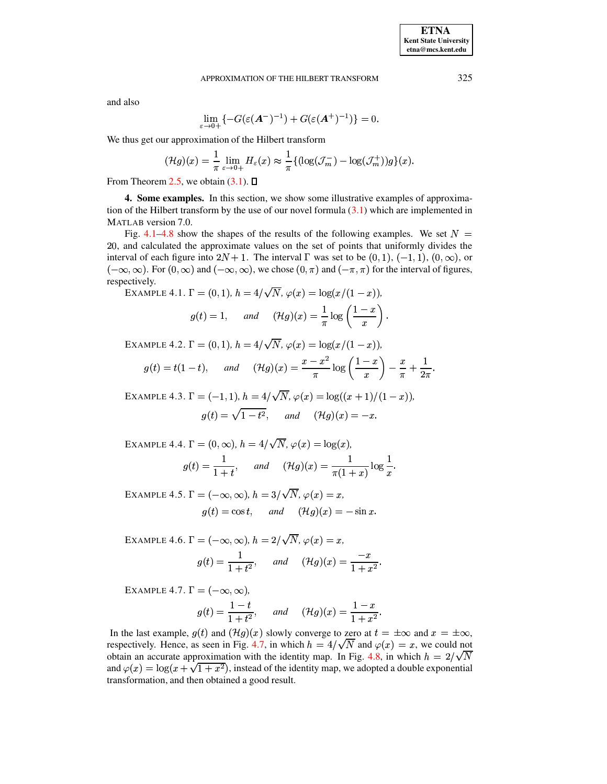and also

$$
\lim_{\varepsilon\to 0+}\{-G(\varepsilon(\boldsymbol{A}^-)^{-1})+G(\varepsilon(\boldsymbol{A}^+)^{-1})\}=0.
$$

We thus get our approximation of the Hilbert transform

$$
(\mathcal{H}g)(x) = \frac{1}{\pi} \lim_{\varepsilon \to 0+} H_{\varepsilon}(x) \approx \frac{1}{\pi} \{ (\log(\mathcal{J}_m^-) - \log(\mathcal{J}_m^+)) g \}(x).
$$

<span id="page-5-0"></span>From Theorem 2.5, we obtain  $(3.1)$ .  $\Box$ 

**4. Some examples.** In this section, we show some illustrative examples of approximation of the Hilbert transform by the use of our novel formula  $(3.1)$  which are implemented in MATLAB version 7.0.

<span id="page-5-1"></span>Fig. 4.1–4.8 show the shapes of the results of the following examples. We set  $N =$ 20, and calculated the approximate values on the set of points that uniformly divides the interval of each figure into  $2N + 1$ . The interval  $\Gamma$  was set to be  $(0, 1), (-1, 1), (0, \infty)$ , or  $(-\infty, \infty)$ . For  $(0, \infty)$  and  $(-\infty, \infty)$ , we chose  $(0, \pi)$  and  $(-\pi, \pi)$  for the interval of figures, respectively.

EXAMPLE 4.1.  $\Gamma = (0, 1), h = 4/\sqrt{N}, \varphi(x) = \log(x/(1-x)),$  $g(t) = 1$ , and  $(\mathcal{H}g)(x) = \frac{1}{\pi} \log \left( \frac{1-x}{x} \right)$ .

<span id="page-5-2"></span>EXAMPLE 4.2.  $\Gamma = (0, 1), h = 4/\sqrt{N}, \varphi(x) = \log(x/(1-x)).$ 

$$
g(t) = t(1-t), \quad \text{and} \quad (\mathcal{H}g)(x) = \frac{x-x^2}{\pi} \log\left(\frac{1-x}{x}\right) - \frac{x}{\pi} + \frac{1}{2\pi}
$$

<span id="page-5-3"></span>EXAMPLE 4.3.  $\Gamma = (-1, 1), h = 4/\sqrt{N}, \varphi(x) = \log((x+1)/(1-x)).$  $g(t) = \sqrt{1 - t^2}$ , and  $(\mathcal{H}g)(x) = -x$ .

<span id="page-5-4"></span>EXAMPLE 4.4.  $\Gamma = (0, \infty)$ ,  $h = 4/\sqrt{N}$ ,  $\varphi(x) = \log(x)$ ,  $g(t) = \frac{1}{1+t}$ , and  $(\mathcal{H}g)(x) = \frac{1}{\pi(1+x)} \log \frac{1}{x}$ .

<span id="page-5-5"></span>EXAMPLE 4.5.  $\Gamma = (-\infty, \infty)$ ,  $h = 3/\sqrt{N}$ ,  $\varphi(x) = x$ .  $g(t) = \cos t$ , and  $(\mathcal{H}g)(x) = -\sin x$ .

<span id="page-5-6"></span>EXAMPLE 4.6.  $\Gamma = (-\infty, \infty)$ ,  $h = 2/\sqrt{N}$ ,  $\varphi(x) = x$ ,  $g(t) = \frac{1}{1+t^2}$ , and  $(\mathcal{H}g)(x) = \frac{-x}{1+x^2}$ .

<span id="page-5-7"></span>EXAMPLE 4.7.  $\Gamma = (-\infty, \infty)$ ,

$$
g(t) = \frac{1-t}{1+t^2}
$$
, and  $(\mathcal{H}g)(x) = \frac{1-x}{1+x^2}$ .

In the last example,  $g(t)$  and  $(\mathcal{H}g)(x)$  slowly converge to zero at  $t = \pm \infty$  and  $x = \pm \infty$ , respectively. Hence, as seen in Fig. 4.7, in which  $h = 4/\sqrt{N}$  and  $\varphi(x) = x$ , we could not obtain an accurate approximation with the identity map. In Fig. 4.8, in which  $h = 2/\sqrt{N}$ and  $\varphi(x) = \log(x + \sqrt{1 + x^2})$ , instead of the identity map, we adopted a double exponential transformation, and then obtained a good result.

325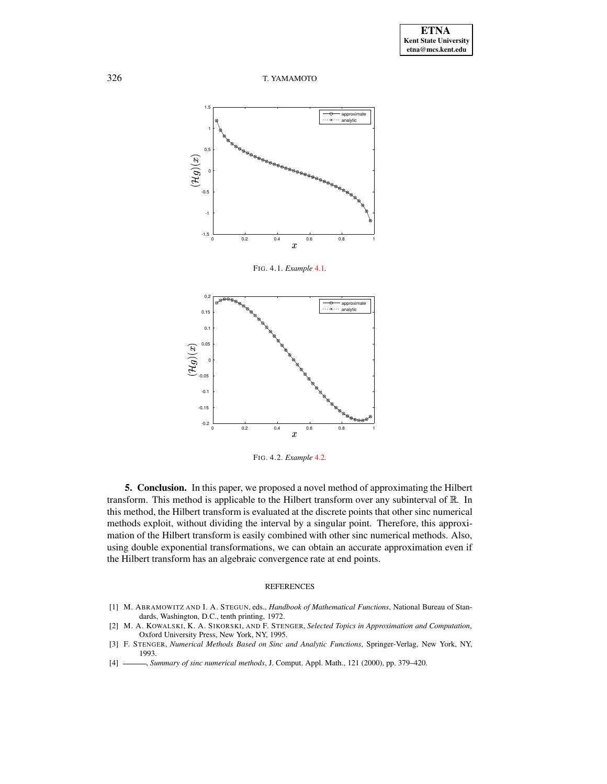

<span id="page-6-4"></span>FIG. 4.1. *Example* [4.1](#page-5-1)*.*





**5. Conclusion.** In this paper, we proposed a novel method of approximating the Hilbert transform. This method is applicable to the Hilbert transform over any subinterval of  $\mathbb R$ . In this method, the Hilbert transform is evaluated at the discrete points that other sinc numerical methods exploit, without dividing the interval by a singular point. Therefore, this approximation of the Hilbert transform is easily combined with other sinc numerical methods. Also, using double exponential transformations, we can obtain an accurate approximation even if the Hilbert transform has an algebraic convergence rate at end points.

### REFERENCES

- <span id="page-6-3"></span>[1] M. ABRAMOWITZ AND I. A. STEGUN, eds., *Handbook of Mathematical Functions*, National Bureau of Standards, Washington, D.C., tenth printing, 1972.
- <span id="page-6-1"></span>[2] M. A. KOWALSKI, K. A. SIKORSKI, AND F. STENGER, *Selected Topics in Approximation and Computation*, Oxford University Press, New York, NY, 1995.
- <span id="page-6-0"></span>[3] F. STENGER, *Numerical Methods Based on Sinc and Analytic Functions*, Springer-Verlag, New York, NY, 1993.
- <span id="page-6-2"></span>[4] , *Summary of sinc numerical methods*, J. Comput. Appl. Math., 121 (2000), pp. 379–420.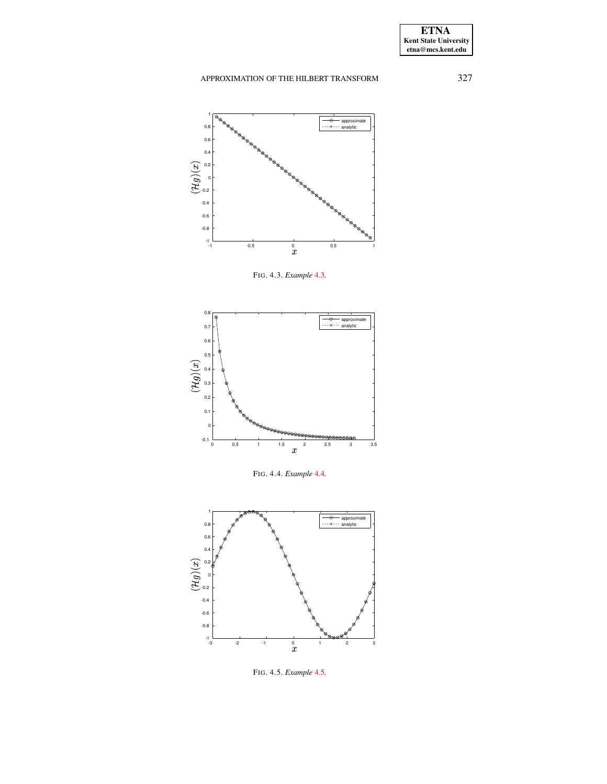# APPROXIMATION OF THE HILBERT TRANSFORM 327



FIG. 4.3. *Example* [4.3](#page-5-3)*.*



FIG. 4.4. *Example* [4.4](#page-5-4)*.*



FIG. 4.5. *Example* [4.5](#page-5-5)*.*